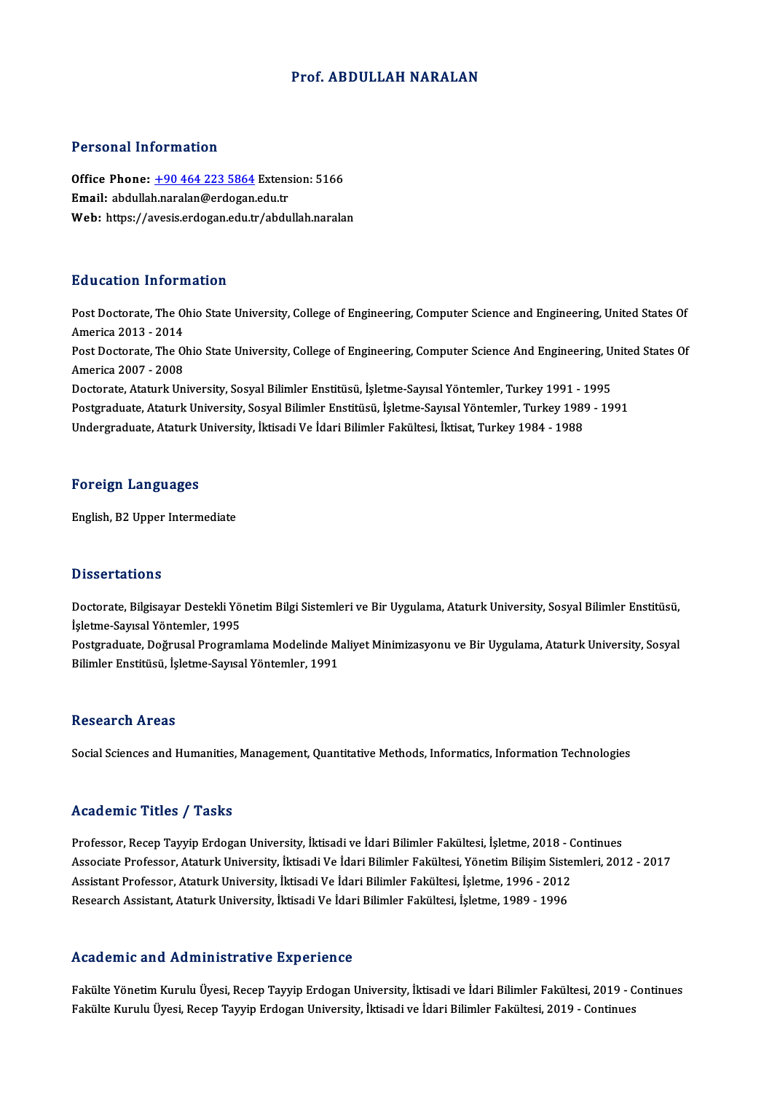### Prof. ABDULLAH NARALAN

### Personal Information

Personal Information<br>Office Phone: <u>+90 464 223 5864</u> Extension: 5166<br>Email: abdullab paralan@ordogan.cdu.tr Personar Information<br>Office Phone: <u>+90 464 223 5864</u> Extens<br>Email: abdulla[h.naralan@erdogan](tel:+90 464 223 5864).edu.tr Email: abdullah.naralan@erdogan.edu.tr<br>Web: https://avesis.erdogan.edu.tr/abdullah.naralan

#### Education Information

Education Information<br>Post Doctorate, The Ohio State University, College of Engineering, Computer Science and Engineering, United States Of Post Doctorate, The O.<br>America 2013 - 2014<br>Post Doctorate, The O. Post Doctorate, The Ohio State University, College of Engineering, Computer Science and Engineering, United States Of<br>America 2013 - 2014<br>Post Doctorate, The Ohio State University, College of Engineering, Computer Science America 2013 - 2014<br>Post Doctorate, The O<br>America 2007 - 2008<br>Doctorate, Ataturk Un Post Doctorate, The Ohio State University, College of Engineering, Computer Science And Engineering, U:<br>America 2007 - 2008<br>Doctorate, Ataturk University, Sosyal Bilimler Enstitüsü, İşletme-Sayısal Yöntemler, Turkey 1991 -America 2007 - 2008<br>Doctorate, Ataturk University, Sosyal Bilimler Enstitüsü, İşletme-Sayısal Yöntemler, Turkey 1991 - 1995<br>Postgraduate, Ataturk University, Sosyal Bilimler Enstitüsü, İşletme-Sayısal Yöntemler, Turkey 198 Doctorate, Ataturk University, Sosyal Bilimler Enstitüsü, İşletme-Sayısal Yöntemler, Turkey 1991 - 1<br>Postgraduate, Ataturk University, Sosyal Bilimler Enstitüsü, İşletme-Sayısal Yöntemler, Turkey 1989<br>Undergraduate, Atatur Undergraduate, Ataturk University, İktisadi Ve İdari Bilimler Fakültesi, İktisat, Turkey 1984 - 1988<br>Foreign Languages

English,B2Upper Intermediate

### **Dissertations**

Dissertations<br>Doctorate, Bilgisayar Destekli Yönetim Bilgi Sistemleri ve Bir Uygulama, Ataturk University, Sosyal Bilimler Enstitüsü,<br>İslatma Sayıcal Yöntemler, 1995 Basser darisme<br>Doctorate, Bilgisayar Destekli Yö<br>İşletme-Sayısal Yöntemler, 1995<br>Bostaraduate, Doğuusal Brogram Doctorate, Bilgisayar Destekli Yönetim Bilgi Sistemleri ve Bir Uygulama, Ataturk University, Sosyal Bilimler Enstitüsü,<br>İşletme-Sayısal Yöntemler, 1995<br>Postgraduate, Doğrusal Programlama Modelinde Maliyet Minimizasyonu ve İşletme-Sayısal Yöntemler, 1995<br>Postgraduate, Doğrusal Programlama Modelinde M:<br>Bilimler Enstitüsü, İşletme-Sayısal Yöntemler, 1991

# Bilimler Enstitüsü, İşletme-Sayısal Yöntemler, 1991<br>Research Areas

Social Sciences and Humanities, Management, Quantitative Methods, Informatics, Information Technologies

#### Academic Titles / Tasks

Academic Titles / Tasks<br>Professor, Recep Tayyip Erdogan University, İktisadi ve İdari Bilimler Fakültesi, İşletme, 2018 - Continues<br>Assesista Brafessor, Ataturk University, İktisadi Ve İdari Bilimler Fakültesi, Yönetim Bil Associate Professor, Ataturk University, İktisadi Ve İdari Bilimler Fakültesi, Yönetim Bilişim Sistemleri, 2012 - 2017<br>Assistant Professor, Ataturk University, İktisadi Ve İdari Bilimler Fakültesi, İşletme, 1996 - 2012 Professor, Recep Tayyip Erdogan University, İktisadi ve İdari Bilimler Fakültesi, İşletme, 2018 - C<br>Associate Professor, Ataturk University, İktisadi Ve İdari Bilimler Fakültesi, Yönetim Bilişim Siste<br>Assistant Professor, Research Assistant, Ataturk University, İktisadi Ve İdari Bilimler Fakültesi, İşletme, 1989 - 1996

### Academic and Administrative Experience

Fakülte Yönetim Kurulu Üyesi, Recep Tayyip Erdogan University, İktisadi ve İdari Bilimler Fakültesi, 2019 - Continues Fakülte Kurulu Üyesi, Recep Tayyip Erdogan University, İktisadi ve İdari Bilimler Fakültesi, 2019 - Continues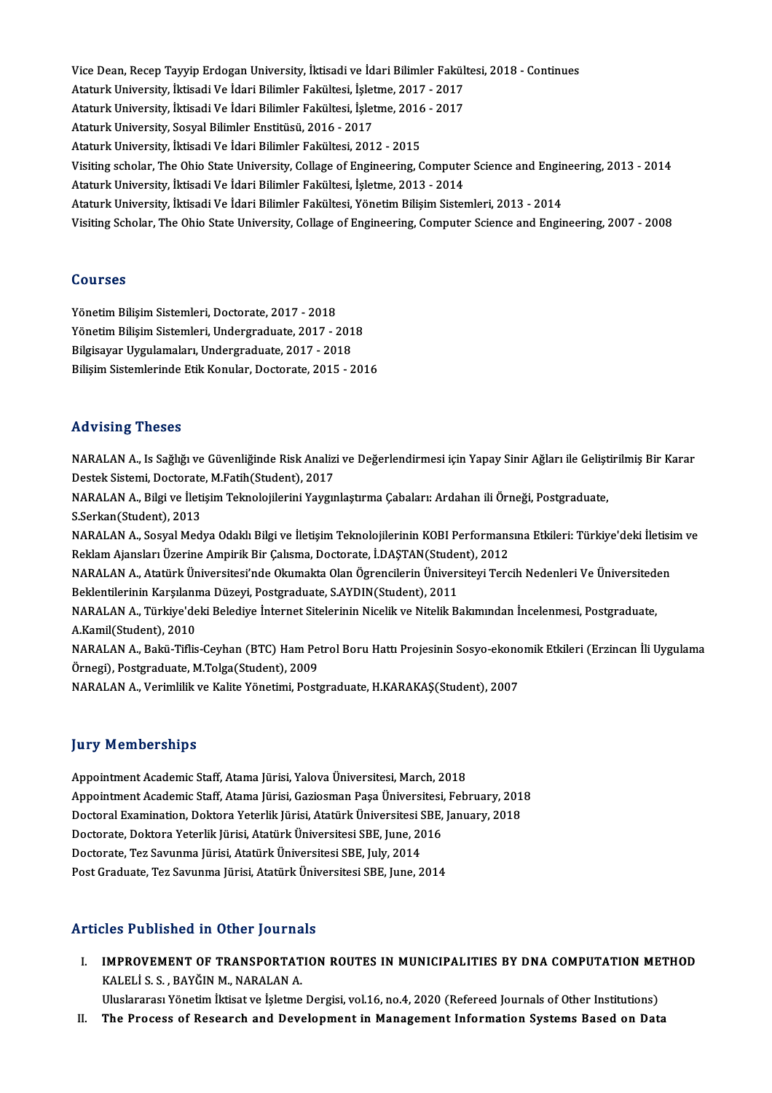Vice Dean, Recep Tayyip Erdogan University, İktisadi ve İdari Bilimler Fakültesi, 2018 - Continues<br>Ataturk University, İltisadi Ve İdari Bilimler Fakültesi, İslatma 2017 - 2017 Vice Dean, Recep Tayyip Erdogan University, İktisadi ve İdari Bilimler Fakült<br>Ataturk University, İktisadi Ve İdari Bilimler Fakültesi, İşletme, 2017 - 2017<br>Ataturk University, İltisadi Ve İdari Bilimler Fakültesi, İsletme Vice Dean, Recep Tayyip Erdogan University, İktisadi ve İdari Bilimler Fakült<br>Ataturk University, İktisadi Ve İdari Bilimler Fakültesi, İşletme, 2017 - 2017<br>Ataturk University, İktisadi Ve İdari Bilimler Fakültesi, İşletme Ataturk University, İktisadi Ve İdari Bilimler Fakültesi, İşlet<br>Ataturk University, İktisadi Ve İdari Bilimler Fakültesi, İşlet<br>Ataturk University, Sosyal Bilimler Enstitüsü, 2016 - 2017<br>Ataturk University, İltisadi Ve İda Ataturk University, İktisadi Ve İdari Bilimler Fakültesi, İşletme, 2016<br>Ataturk University, Sosyal Bilimler Enstitüsü, 2016 - 2017<br>Ataturk University, İktisadi Ve İdari Bilimler Fakültesi, 2012 - 2015<br>Visiting sebelar, The Ataturk University, Sosyal Bilimler Enstitüsü, 2016 - 2017<br>Ataturk University, İktisadi Ve İdari Bilimler Fakültesi, 2012 - 2015<br>Visiting scholar, The Ohio State University, Collage of Engineering, Computer Science and Eng Ataturk University, İktisadi Ve İdari Bilimler Fakültesi, 2012 - 2015<br>Visiting scholar, The Ohio State University, Collage of Engineering, Computer<br>Ataturk University, İktisadi Ve İdari Bilimler Fakültesi, İşletme, 2013 - Visiting scholar, The Ohio State University, Collage of Engineering, Computer Science and Engineering, Italia<br>Ataturk University, İktisadi Ve İdari Bilimler Fakültesi, İşletme, 2013 - 2014<br>Ataturk University, İktisadi Ve İ Ataturk University, İktisadi Ve İdari Bilimler Fakültesi, İşletme, 2013 - 2014<br>Ataturk University, İktisadi Ve İdari Bilimler Fakültesi, Yönetim Bilişim Sistemleri, 2013 - 2014<br>Visiting Scholar, The Ohio State University,

### Courses

Yönetim Bilişim Sistemleri, Doctorate, 2017 - 2018 Yönetim Bilişim Sistemleri, Doctorate, 2017 - 2018<br>Yönetim Bilişim Sistemleri, Undergraduate, 2017 - 2018<br>Bilgisayar Uygulamaları, Undergraduate, 2017 - 2018 Yönetim Bilişim Sistemleri, Doctorate, 2017 - 2018<br>Yönetim Bilişim Sistemleri, Undergraduate, 2017 - 201<br>Bilgisayar Uygulamaları, Undergraduate, 2017 - 2018<br>Bilisim Sistemlerinde Etik Konular Desterate, 2015 Bilgisayar Uygulamaları, Undergraduate, 2017 - 2018<br>Bilişim Sistemlerinde Etik Konular, Doctorate, 2015 - 2016

### Advising Theses

**Advising Theses**<br>NARALAN A., Is Sağlığı ve Güvenliğinde Risk Analizi ve Değerlendirmesi için Yapay Sinir Ağları ile Geliştirilmiş Bir Karar<br>Destek Sistemi, Destarata M Eatib(Student), 2017 1107101115<br>112 NARALAN A., Is Sağlığı ve Güvenliğinde Risk Analiz<br>Destek Sistemi, Doctorate, M.Fatih(Student), 2017<br>NARALAN A., Bilgi ve İletisim Telmolojilerini Yavgız NARALAN A., Is Sağlığı ve Güvenliğinde Risk Analizi ve Değerlendirmesi için Yapay Sinir Ağları ile Gelişt<br>Destek Sistemi, Doctorate, M.Fatih(Student), 2017<br>NARALAN A., Bilgi ve İletişim Teknolojilerini Yaygınlaştırma Çabal Destek Sistemi, Doctorate, M.Fatih(Student), 2017<br>NARALAN A., Bilgi ve İletişim Teknolojilerini Yaygınlaştırma Çabaları: Ardahan ili Örneği, Postgraduate,<br>S.Serkan(Student), 2013 NARALAN A., Sosyal Medya Odaklı Bilgi ve İletişim Teknolojilerinin KOBI Performansına Etkileri: Türkiye'deki İletisim ve S.Serkan(Student), 2013<br>NARALAN A., Sosyal Medya Odaklı Bilgi ve İletişim Teknolojilerinin KOBI Performans<br>Reklam Ajansları Üzerine Ampirik Bir Çalısma, Doctorate, İ.DAŞTAN(Student), 2012<br>NARALAN A., Atatürk Üniversitesi'n NARALAN A., Sosyal Medya Odaklı Bilgi ve İletişim Teknolojilerinin KOBI Performansına Etkileri: Türkiye'deki İletisi<br>Reklam Ajansları Üzerine Ampirik Bir Çalısma, Doctorate, İ.DAŞTAN(Student), 2012<br>NARALAN A., Atatürk Üniv Reklam Ajansları Üzerine Ampirik Bir Çalısma, Doctorate, İ.DAŞTAN(Studen<br>NARALAN A., Atatürk Üniversitesi'nde Okumakta Olan Ögrencilerin Ünivers<br>Beklentilerinin Karşılanma Düzeyi, Postgraduate, S.AYDIN(Student), 2011<br>NARAL NARALAN A., Atatürk Üniversitesi'nde Okumakta Olan Ögrencilerin Üniversiteyi Tercih Nedenleri Ve Üniversited<br>Beklentilerinin Karşılanma Düzeyi, Postgraduate, S.AYDIN(Student), 2011<br>NARALAN A., Türkiye'deki Belediye İnterne Beklentilerinin Karşılanma Düzeyi, Postgraduate, S.AYDIN(Student), 2011<br>NARALAN A., Türkiye'deki Belediye İnternet Sitelerinin Nicelik ve Nitelik Bakımından İncelenmesi, Postgraduate,<br>A.Kamil(Student), 2010 NARALAN A., Türkiye'deki Belediye İnternet Sitelerinin Nicelik ve Nitelik Bakımından İncelenmesi, Postgraduate,<br>A.Kamil(Student), 2010<br>NARALAN A., Bakü-Tiflis-Ceyhan (BTC) Ham Petrol Boru Hattı Projesinin Sosyo-ekonomik Et A.Kamil(Student), 2010<br>NARALAN A., Bakü-Tiflis-Ceyhan (BTC) Ham Pet<br>Örnegi), Postgraduate, M.Tolga(Student), 2009<br>NARALAN A. Verimlilikve Kalite Vänetimi, Best Örnegi), Postgraduate, M.Tolga(Student), 2009<br>NARALAN A., Verimlilik ve Kalite Yönetimi, Postgraduate, H.KARAKAŞ(Student), 2007

### **Jury Memberships**

Appointment Academic Staff, Atama Jürisi, Yalova Üniversitesi, March, 2018 Appointment Academic Staff, Atama Jürisi, Gaziosman Paşa Üniversitesi, February, 2018 Appointment Academic Staff, Atama Jürisi, Yalova Üniversitesi, March, 2018<br>Appointment Academic Staff, Atama Jürisi, Gaziosman Paşa Üniversitesi, February, 201<br>Doctoral Examination, Doktora Yeterlik Jürisi, Atatürk Ünivers Appointment Academic Staff, Atama Jürisi, Gaziosman Paşa Üniversitesi,<br>Doctoral Examination, Doktora Yeterlik Jürisi, Atatürk Üniversitesi SBE,<br>Doctorate, Doktora Yeterlik Jürisi, Atatürk Üniversitesi SBE, June, 2016<br>Docto Doctoral Examination, Doktora Yeterlik Jürisi, Atatürk Üniversitesi S<br>Doctorate, Doktora Yeterlik Jürisi, Atatürk Üniversitesi SBE, June, 20<br>Doctorate, Tez Savunma Jürisi, Atatürk Üniversitesi SBE, July, 2014<br>Post Craduate Doctorate, Doktora Yeterlik Jürisi, Atatürk Üniversitesi SBE, June, 2016<br>Doctorate, Tez Savunma Jürisi, Atatürk Üniversitesi SBE, July, 2014<br>Post Graduate, Tez Savunma Jürisi, Atatürk Üniversitesi SBE, June, 2014

### Articles Published in Other Journals

- Tticles Published in Other Journals<br>I. IMPROVEMENT OF TRANSPORTATION ROUTES IN MUNICIPALITIES BY DNA COMPUTATION METHOD IMPROVEMENT OF TRANSPORTAT<br>IMPROVEMENT OF TRANSPORTAT<br>KALELİ S. S. , BAYĞIN M., NARALAN A. IMPROVEMENT OF TRANSPORTATION ROUTES IN MUNICIPALITIES BY DNA COMPUTATION ME<br>KALELİ S. S. , BAYĞIN M., NARALAN A.<br>Uluslararası Yönetim İktisat ve İşletme Dergisi, vol.16, no.4, 2020 (Refereed Journals of Other Institutions KALELİ S. S. , BAYĞIN M., NARALAN A.<br>Uluslararası Yönetim İktisat ve İşletme Dergisi, vol.16, no.4, 2020 (Refereed Journals of Other Institutions)<br>II. The Process of Research and Development in Management Information S
- 
-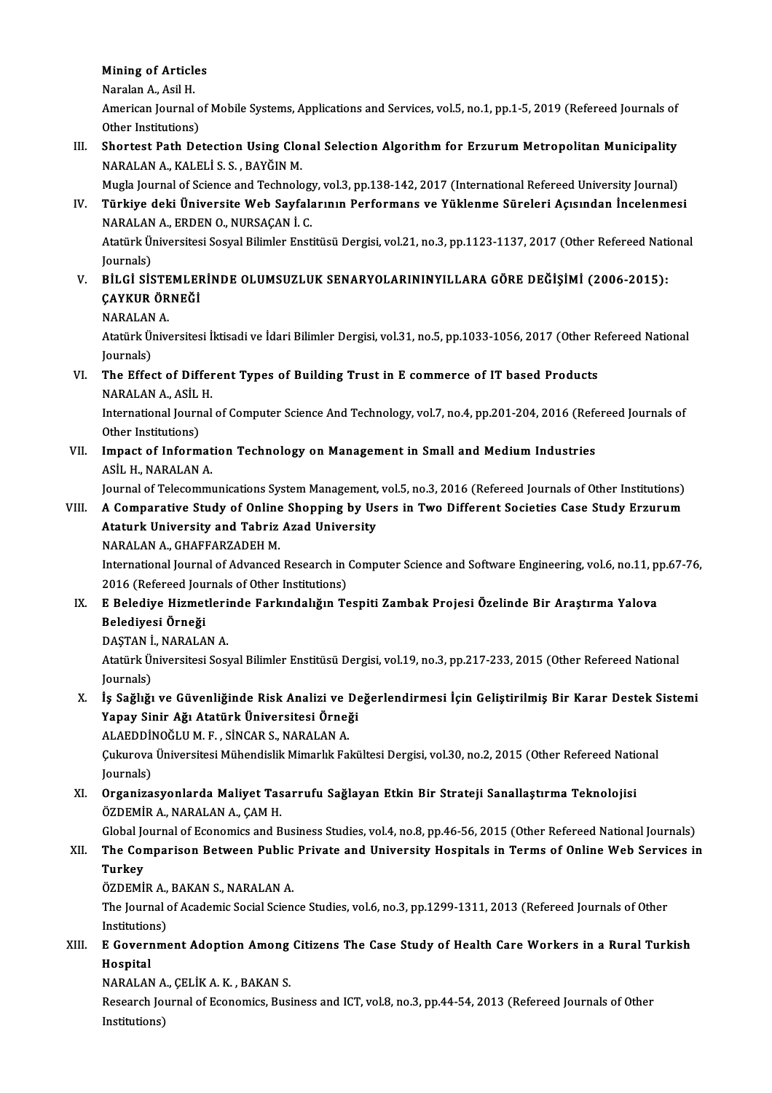## Mining of Articles<br>Naralan A Acil H Mining of Article<br>Naralan A., Asil H.<br>American Journal

Mining of Articles<br>Naralan A., Asil H.<br>American Journal of Mobile Systems, Applications and Services, vol.5, no.1, pp.1-5, 2019 (Refereed Journals of Naralan A., Asil H.<br>American Journal o<br>Other Institutions)<br>Shortest Path De American Journal of Mobile Systems, Applications and Services, vol.5, no.1, pp.1-5, 2019 (Refereed Journals of<br>Other Institutions)<br>III. Shortest Path Detection Using Clonal Selection Algorithm for Erzurum Metropolitan Muni

Other Institutions)<br>Shortest Path Detection Using Clo:<br>NARALAN A., KALELİ S.S. , BAYĞIN M.<br>Mugla Journal of Science and Technols Shortest Path Detection Using Clonal Selection Algorithm for Erzurum Metropolitan Municipality<br>NARALAN A., KALELİ S. S. , BAYĞIN M.<br>Mugla Journal of Science and Technology, vol.3, pp.138-142, 2017 (International Refereed U

NARALAN A., KALELİ S. S. , BAYĞIN M.<br>Mugla Journal of Science and Technology, vol.3, pp.138-142, 2017 (International Refereed University Journal)<br>IV. Türkiye deki Üniversite Web Sayfalarının Performans ve Yüklenme Süre Mugla Journal of Science and Technolog<br>Türkiye deki Üniversite Web Sayfal:<br>NARALAN A., ERDEN O., NURSAÇAN İ. C.<br>Atatürk Üniversitesi Sesual Bilimler Enst Türkiye deki Üniversite Web Sayfalarının Performans ve Yüklenme Süreleri Açısından İncelenmesi<br>NARALAN A., ERDEN O., NURSAÇAN İ. C.<br>Atatürk Üniversitesi Sosyal Bilimler Enstitüsü Dergisi, vol.21, no.3, pp.1123-1137, 2017 (

NARALAN<br>Atatürk Ül<br>Journals)<br>Pit Ci Sis Atatürk Üniversitesi Sosyal Bilimler Enstitüsü Dergisi, vol.21, no.3, pp.1123-1137, 2017 (Other Refereed Nati<br>Journals)<br>V. BİLGİ SİSTEMLERİNDE OLUMSUZLUK SENARYOLARININYILLARA GÖRE DEĞİŞİMİ (2006-2015):<br>CAYKUR ÖRNEĞİ

- Journals)<br>V. BİLGİ SİSTEMLERİNDE OLUMSUZLUK SENARYOLARININYILLARA GÖRE DEĞİŞİMİ (2006-2015):<br>CAYKUR ÖRNEĞİ
	- NARALAN A.

ÇAYKUR ÖRNEĞİ<br>NARALAN A.<br>Atatürk Üniversitesi İktisadi ve İdari Bilimler Dergisi, vol.31, no.5, pp.1033-1056, 2017 (Other Refereed National NARALAN<br>Atatürk Ül<br>Journals)<br>The Effec Atatürk Üniversitesi İktisadi ve İdari Bilimler Dergisi, vol.31, no.5, pp.1033-1056, 2017 (Other R<br>Journals)<br>VI. The Effect of Different Types of Building Trust in E commerce of IT based Products<br>NARALAN A ASU H

## Journals)<br><mark>The Effect of Differ</mark><br>NARALAN A., ASİL H.<br>International Journal The Effect of Different Types of Building Trust in E commerce of IT based Products<br>NARALAN A., ASİL H.<br>International Journal of Computer Science And Technology, vol.7, no.4, pp.201-204, 2016 (Refereed Journals of<br>Other Ins

NARALAN A., ASİL<br>International Journ<br>Other Institutions)<br>Imnast of Inform International Journal of Computer Science And Technology, vol.7, no.4, pp.201-204, 2016 (Refe<br>Other Institutions)<br>VII. Impact of Information Technology on Management in Small and Medium Industries<br>ASU H. NARALAN A

Other Institutions)<br>VII. Impact of Information Technology on Management in Small and Medium Industries<br>ASİL H., NARALAN A. Impact of Information Technology on Management in Small and Medium Industries<br>ASİL H., NARALAN A.<br>Journal of Telecommunications System Management, vol.5, no.3, 2016 (Refereed Journals of Other Institutions)<br>A Comparative S

### ASİL H., NARALAN A.<br>Journal of Telecommunications System Management, vol.5, no.3, 2016 (Refereed Journals of Other Institutions)<br>VIII. A Comparative Study of Online Shopping by Users in Two Different Societies Case Stud Journal of Telecommunications System Management,<br>A Comparative Study of Online Shopping by Us<br>Ataturk University and Tabriz Azad University<br>NARALAN A, CHAEEARZADEH M VIII. A Comparative Study of Online Shopping by Users in Two Different Societies Case Study Erzurum<br>Ataturk University and Tabriz Azad University<br>NARALAN A., GHAFFARZADEH M.

Ataturk University and Tabriz Azad University<br>NARALAN A., GHAFFARZADEH M.<br>International Journal of Advanced Research in Computer Science and Software Engineering, vol.6, no.11, pp.67-76,<br>2016 (Refereed Journals of Other In NARALAN A., GHAFFARZADEH M.<br>International Journal of Advanced Research in<br>2016 (Refereed Journals of Other Institutions)<br>E Beledive Higmotlerinde Ferkundeliğun To International Journal of Advanced Research in Computer Science and Software Engineering, vol.6, no.11, p.<br>2016 (Refereed Journals of Other Institutions)<br>IX. E Belediye Hizmetlerinde Farkındalığın Tespiti Zambak Projesi Öze

## 2016 (Refereed Jou<br><mark>E Belediye Hizmet</mark><br>Belediyesi Örneği<br>DASTANİ NARALA E Belediye Hizmetleri<br>Belediyesi Örneği<br>DAŞTAN İ., NARALAN A.<br>Atatürk Üniversitesi Sess

Belediyesi Örneği<br>DAŞTAN İ., NARALAN A.<br>Atatürk Üniversitesi Sosyal Bilimler Enstitüsü Dergisi, vol.19, no.3, pp.217-233, 2015 (Other Refereed National DAŞTAN İ<br>Atatürk Ül<br>Journals)<br>İs Seğliği Atatürk Üniversitesi Sosyal Bilimler Enstitüsü Dergisi, vol.19, no.3, pp.217-233, 2015 (Other Refereed National<br>Journals)<br>X. İş Sağlığı ve Güvenliğinde Risk Analizi ve Değerlendirmesi İçin Geliştirilmiş Bir Karar Destek Si

## Journals)<br>İş Sağlığı ve Güvenliğinde Risk Analizi ve De<br>Yapay Sinir Ağı Atatürk Üniversitesi Örneği<br>ALAEDDİNQĞLUM E. SİNGAR S. NARALAN A İş Sağlığı ve Güvenliğinde Risk Analizi ve l<br>Yapay Sinir Ağı Atatürk Üniversitesi Örneğ<br>ALAEDDİNOĞLUM.F., SİNCAR S., NARALAN A.<br>Culayasın Üniversitesi Mühandialik Mimarlık Fa

ALAEDDİNOĞLU M. F., SİNCAR S., NARALAN A.

Çukurova Üniversitesi Mühendislik Mimarlık Fakültesi Dergisi, vol.30, no.2, 2015 (Other Refereed National<br>Journals) Cukurova Üniversitesi Mühendislik Mimarlık Fakültesi Dergisi, vol.30, no.2, 2015 (Other Refereed Nation Journals)<br>Journals)<br>XI. Organizasyonlarda Maliyet Tasarrufu Sağlayan Etkin Bir Strateji Sanallaştırma Teknolojisi<br>ÖZDE

## Journals)<br><mark>Organizasyonlarda Maliyet Tas</mark><br>ÖZDEMİR A., NARALAN A., ÇAM H.<br>Clabal Journal of Economics and B Organizasyonlarda Maliyet Tasarrufu Sağlayan Etkin Bir Strateji Sanallaştırma Teknolojisi<br>ÖZDEMİR A., NARALAN A., ÇAM H.<br>Global Journal of Economics and Business Studies, vol.4, no.8, pp.46-56, 2015 (Other Refereed Nationa

### ÖZDEMİR A., NARALAN A., ÇAM H.<br>Global Journal of Economics and Business Studies, vol.4, no.8, pp.46-56, 2015 (Other Refereed National Journals)<br>XII. The Comparison Between Public Private and University Hospitals in Ter **Global Jon**<br>The Cor<br>Turkey<br>ÖZDEMİ The Comparison Between Public<br>Turkey<br>ÖZDEMİR A., BAKAN S., NARALAN A.<br>The Journal of Acedomic Social Scien Turkey<br>ÖZDEMİR A., BAKAN S., NARALAN A.<br>The Journal of Academic Social Science Studies, vol.6, no.3, pp.1299-1311, 2013 (Refereed Journals of Other

ÖZDEMİR A.,<br>The Journal o<br>Institutions)<br>E Covernme The Journal of Academic Social Science Studies, vol.6, no.3, pp.1299-1311, 2013 (Refereed Journals of Other<br>Institutions)<br>XIII. E Government Adoption Among Citizens The Case Study of Health Care Workers in a Rural Turkish<br>

## Institution<br>E Govern<br>Hospital<br>NARALAN E Government Adoption Among<br>Hospital<br>NARALAN A., ÇELİK A. K. , BAKAN S.<br>Pessarsh Jaurnal of Fsanamics Pusi

Hospital<br>NARALAN A., ÇELİK A. K. , BAKAN S.<br>Research Journal of Economics, Business and ICT, vol.8, no.3, pp.44-54, 2013 (Refereed Journals of Other<br>Institutione) NARALAN A<br>Research Jo<br>Institutions)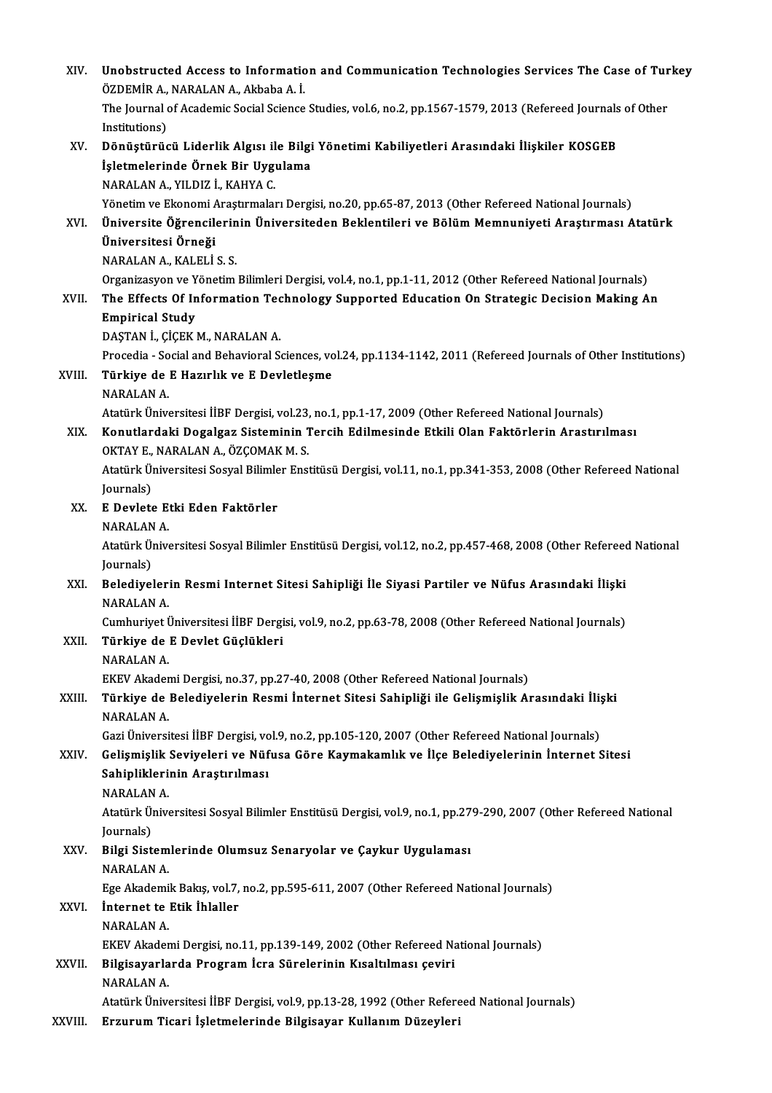| XIV.    | Unobstructed Access to Information and Communication Technologies Services The Case of Turkey<br>ÖZDEMİR A., NARALAN A., Akbaba A. İ. |
|---------|---------------------------------------------------------------------------------------------------------------------------------------|
|         | The Journal of Academic Social Science Studies, vol.6, no.2, pp.1567-1579, 2013 (Refereed Journals of Other                           |
|         | Institutions)                                                                                                                         |
| XV.     | Dönüştürücü Liderlik Algısı ile Bilgi Yönetimi Kabiliyetleri Arasındaki İlişkiler KOSGEB                                              |
|         | İşletmelerinde Örnek Bir Uygulama<br>NARALAN A., YILDIZ İ., KAHYA C.                                                                  |
|         | Yönetim ve Ekonomi Araştırmaları Dergisi, no.20, pp.65-87, 2013 (Other Refereed National Journals)                                    |
| XVI.    | Üniversite Öğrencilerinin Üniversiteden Beklentileri ve Bölüm Memnuniyeti Araştırması Atatürk                                         |
|         | Üniversitesi Örneği                                                                                                                   |
|         | NARALAN A, KALELİ S S.                                                                                                                |
|         | Organizasyon ve Yönetim Bilimleri Dergisi, vol.4, no.1, pp.1-11, 2012 (Other Refereed National Journals)                              |
| XVII.   | The Effects Of Information Technology Supported Education On Strategic Decision Making An                                             |
|         | <b>Empirical Study</b>                                                                                                                |
|         | DAŞTAN İ., ÇİÇEK M., NARALAN A.                                                                                                       |
|         | Procedia - Social and Behavioral Sciences, vol.24, pp.1134-1142, 2011 (Refereed Journals of Other Institutions)                       |
| XVIII.  | Türkiye de E Hazırlık ve E Devletleşme                                                                                                |
|         | <b>NARALAN A</b>                                                                                                                      |
|         | Atatürk Üniversitesi İİBF Dergisi, vol.23, no.1, pp.1-17, 2009 (Other Refereed National Journals)                                     |
| XIX.    | Konutlardaki Dogalgaz Sisteminin Tercih Edilmesinde Etkili Olan Faktörlerin Arastırılması                                             |
|         | OKTAY E., NARALAN A., ÖZÇOMAK M. S.                                                                                                   |
|         | Atatürk Üniversitesi Sosyal Bilimler Enstitüsü Dergisi, vol.11, no.1, pp.341-353, 2008 (Other Refereed National                       |
|         | Journals)                                                                                                                             |
| XX.     | E Devlete Etki Eden Faktörler                                                                                                         |
|         | <b>NARALAN A</b>                                                                                                                      |
|         | Atatürk Üniversitesi Sosyal Bilimler Enstitüsü Dergisi, vol.12, no.2, pp.457-468, 2008 (Other Refereed National                       |
| XXI.    | Journals)<br>Belediyelerin Resmi Internet Sitesi Sahipliği İle Siyasi Partiler ve Nüfus Arasındaki İlişki                             |
|         | NARALAN A.                                                                                                                            |
|         | Cumhuriyet Üniversitesi İİBF Dergisi, vol.9, no.2, pp.63-78, 2008 (Other Refereed National Journals)                                  |
| XXII.   | Türkiye de E Devlet Güçlükleri                                                                                                        |
|         | <b>NARALAN A</b>                                                                                                                      |
|         | EKEV Akademi Dergisi, no.37, pp.27-40, 2008 (Other Refereed National Journals)                                                        |
| XXIII.  | Türkiye de Belediyelerin Resmi İnternet Sitesi Sahipliği ile Gelişmişlik Arasındaki İlişki                                            |
|         | NARALAN A.                                                                                                                            |
|         | Gazi Üniversitesi İİBF Dergisi, vol.9, no.2, pp.105-120, 2007 (Other Refereed National Journals)                                      |
| XXIV.   | Gelişmişlik Seviyeleri ve Nüfusa Göre Kaymakamlık ve İlçe Belediyelerinin İnternet Sitesi                                             |
|         | Sahipliklerinin Araştırılması                                                                                                         |
|         | NARALAN A.                                                                                                                            |
|         | Atatürk Üniversitesi Sosyal Bilimler Enstitüsü Dergisi, vol.9, no.1, pp.279-290, 2007 (Other Refereed National                        |
|         | Journals)                                                                                                                             |
| XXV     | Bilgi Sistemlerinde Olumsuz Senaryolar ve Çaykur Uygulaması<br><b>NARALAN A</b>                                                       |
|         | Ege Akademik Bakış, vol.7, no.2, pp.595-611, 2007 (Other Refereed National Journals)                                                  |
| XXVI.   | Internet te Etik İhlaller                                                                                                             |
|         | NARALAN A.                                                                                                                            |
|         | EKEV Akademi Dergisi, no.11, pp.139-149, 2002 (Other Refereed National Journals)                                                      |
| XXVII.  | Bilgisayarlarda Program İcra Sürelerinin Kısaltılması çeviri                                                                          |
|         | NARALAN A.                                                                                                                            |
|         | Atatürk Üniversitesi İİBF Dergisi, vol.9, pp.13-28, 1992 (Other Refereed National Journals)                                           |
| XXVIII. | Erzurum Ticari İşletmelerinde Bilgisayar Kullanım Düzeyleri                                                                           |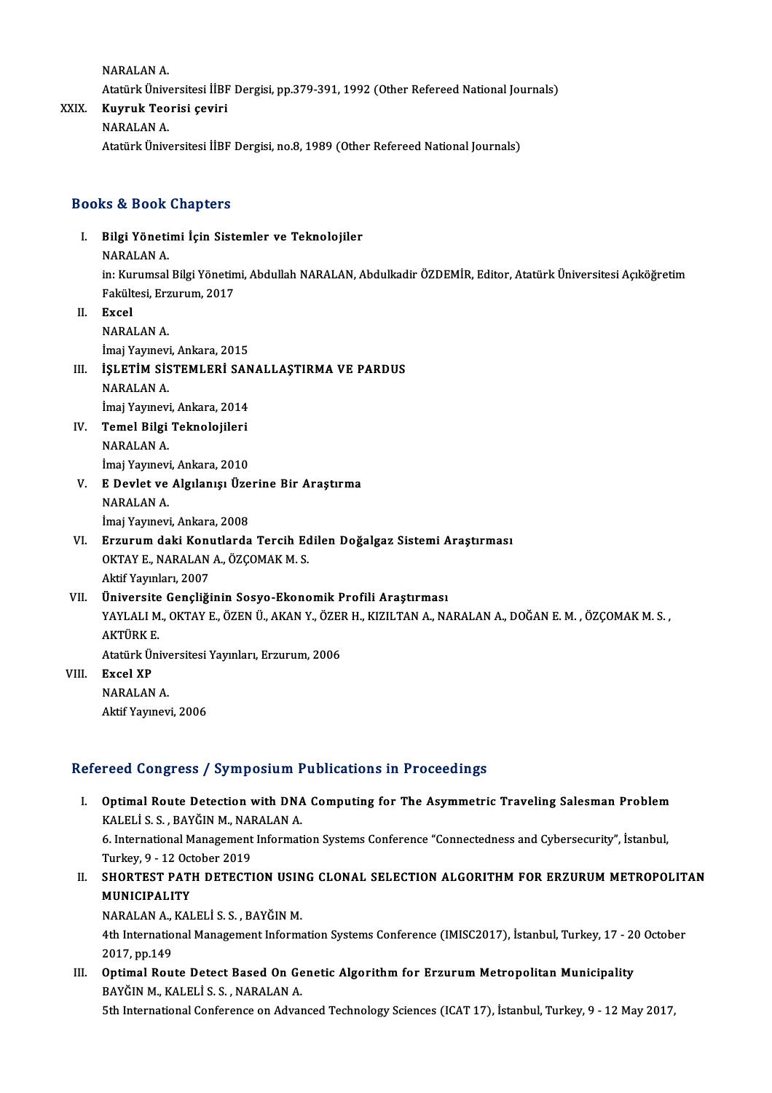NARALANA.

NARALAN A.<br>Atatürk Üniversitesi İİBF Dergisi, pp.379-391, 1992 (Other Refereed National Journals)<br>Kuynuk Teorisi seviri

- NARALAN A.<br>Atatürk Üniversitesi İİBF<br>XXIX. Kuyruk Teorisi çeviri<br>NARALAN A Atatürk Ünive<br><mark>Kuyruk Teo</mark><br>NARALAN A.
	-
	- Kuyruk Teorisi çeviri<br>NARALAN A.<br>Atatürk Üniversitesi İİBF Dergisi, no.8, 1989 (Other Refereed National Journals)

### Books&Book Chapters

ooks & Book Chapters<br>I. Bilgi Yönetimi İçin Sistemler ve Teknolojiler<br>NARALANA na 2001<br>Bilgi Yöneti<br>NARALAN A.<br>in: Kurumsal. Bilgi Yönetimi İçin Sistemler ve Teknolojiler<br>NARALAN A.<br>in: Kurumsal Bilgi Yönetimi, Abdullah NARALAN, Abdulkadir ÖZDEMİR, Editor, Atatürk Üniversitesi Açıköğretim<br>Fekültesi, Ergunum, 2017 NARALAN A.<br>in: Kurumsal Bilgi Yönetin<br>Fakültesi, Erzurum, 2017<br>Evaal II. Excel<br>NARALAN A. Fakültesi, Erzurum, 2017 İmaj Yayınevi, Ankara, 2015 NARALAN A.<br>İmaj Yayınevi, Ankara, 2015<br>III. İŞLETİM SİSTEMLERİ SANALLAŞTIRMA VE PARDUS<br>NARALAN A. İmaj Yayınevi<br>İŞLETİM SİS<br>NARALAN A.<br>İmai Yayınayi İŞLETİM SİSTEMLERİ SAN<br>NARALAN A.<br>İmaj Yayınevi, Ankara, 2014<br>Tamal Bilgi Taknalajilari NARALAN A.<br>İmaj Yayınevi, Ankara, 2014<br>IV. Temel Bilgi Teknolojileri<br>NARALAN A. İmaj Yayınevi<br>Temel Bilgi<br>NARALAN A.<br>İmai Yayınevi **Temel Bilgi Teknolojileri<br>NARALAN A.<br>İmaj Yayınevi, Ankara, 2010**<br>E Dovlet ve Algılanısı Üze NARALAN A.<br>İmaj Yayınevi, Ankara, 2010<br>V. E Devlet ve Algılanışı Üzerine Bir Araştırma<br>NARALAN A. İmaj Yayınevi<br>E Devlet ve<br>NARALAN A.<br>İmai Yayınayi E Devlet ve Algılanışı Üze<br>NARALAN A.<br>İmaj Yayınevi, Ankara, 2008<br>Erzunum daki Kanutlarda NARALAN A.<br>İmaj Yayınevi, Ankara, 2008<br>VI. Erzurum daki Konutlarda Tercih Edilen Doğalgaz Sistemi Araştırması<br>OKTAVE NARALAN A. ÖZCOMAK M. S İmaj Yayınevi, Ankara, 2008<br>Erzurum daki Konutlarda Tercih Ed<br>OKTAY E., NARALAN A., ÖZÇOMAK M. S.<br>Aktif Yayınları, 2007 Erzurum daki Kon<br>OKTAY E., NARALAN<br>Aktif Yayınları, 2007<br>Üniversite Censliği OKTAY E., NARALAN A., ÖZÇOMAK M. S.<br>Aktif Yayınları, 2007<br>VII. Üniversite Gençliğinin Sosyo-Ekonomik Profili Araştırması Aktif Yayınları, 2007<br>Üniversite Gençliğinin Sosyo-Ekonomik Profili Araştırması<br>YAYLALI M., OKTAY E., ÖZEN Ü., AKAN Y., ÖZER H., KIZILTAN A., NARALAN A., DOĞAN E. M. , ÖZÇOMAK M. S. ,<br>AKTÜRK F Üniversite<br>YAYLALI M<br>AKTÜRK E.<br>Atatürk Üni YAYLALI M., OKTAY E., ÖZEN Ü., AKAN Y., ÖZEI<br>AKTÜRK E.<br>Atatürk Üniversitesi Yayınları, Erzurum, 2006<br>Erzel YP AKTÜRK E.<br>Atatürk Ünive<br>VIII. – Excel XP<br>– NARALAN A. Atatürk Üniversitesi Yayınları, Erzurum, 2006 Aktif Yayınevi, 2006

### Refereed Congress / Symposium Publications in Proceedings

- efereed Congress / Symposium Publications in Proceedings<br>I. Optimal Route Detection with DNA Computing for The Asymmetric Traveling Salesman Problem<br>KALELLS S. PAVČIN M. NARALAN A Sources of the process of the setting<br>Optimal Route Detection with DNA<br>KALELİ S. S., BAYĞINM., NARALANA. Optimal Route Detection with DNA Computing for The Asymmetric Traveling Salesman Problem<br>KALELİ S. S. , BAYĞIN M., NARALAN A.<br>6. International Management Information Systems Conference "Connectedness and Cybersecurity", İs KALELİ S. S. , BAYĞIN M., NARALAN A.<br>6. International Management Information Systems Conference "Connectedness and Cybersecurity", İstanbul, Turkey, 9 - 12 October 2019
- II. SHORTEST PATH DETECTION USING CLONAL SELECTION ALGORITHM FOR ERZURUM METROPOLITAN<br>MUNICIPALITY

NARALANA.,KALELİ S.S. ,BAYĞINM.

4th International Management Information Systems Conference (IMISC2017), İstanbul, Turkey, 17 - 20 October 2017,pp.149 4th International Management Information Systems Conference (IMISC2017), İstanbul, Turkey, 17 - 20<br>2017, pp.149<br>III. Optimal Route Detect Based On Genetic Algorithm for Erzurum Metropolitan Municipality<br>PAVČIN M. KALELİ S.

2017, pp.149<br><mark>Optimal Route Detect Based On Ge</mark><br>BAYĞIN M., KALELİ S. S. , NARALAN A.<br>Eth International Conference on Adver BAYĞIN M., KALELİ S. S. , NARALAN A.<br>5th International Conference on Advanced Technology Sciences (ICAT 17), İstanbul, Turkey, 9 - 12 May 2017,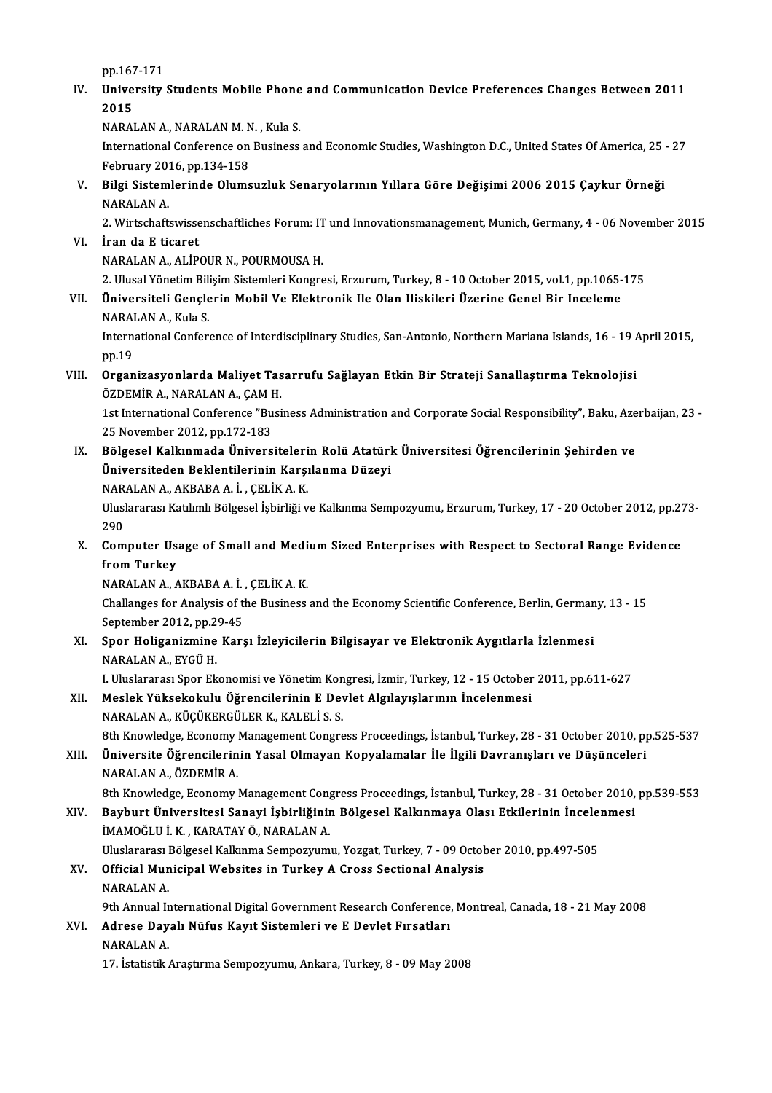pp.167-171

IV. University Students Mobile Phone and Communication Device Preferences Changes Between 2011<br>2015 pp.167<br>Unive<br>2015<br>NARAL University Students Mobile Phone<br>2015<br>NARALAN A., NARALAN M. N. , Kula S.<br>International Conference on Business

International Conference on Business and Economic Studies, Washington D.C., United States Of America, 25 - 27<br>February 2016, pp.134-158 NARALAN A., NARALAN M. N<br>International Conference on<br>February 2016, pp.134-158<br>Bilgi Sistemlerinde Olume International Conference on Business and Economic Studies, Washington D.C., United States Of America, 25<br>February 2016, pp.134-158<br>V. Bilgi Sistemlerinde Olumsuzluk Senaryolarının Yıllara Göre Değişimi 2006 2015 Çaykur Örn

February 201<br>Bilgi Sistem<br>NARALAN A. Bilgi Sistemlerinde Olumsuzluk Senaryolarının Yıllara Göre Değişimi 2006 2015 Çaykur Örneği<br>NARALAN A.<br>2. Wirtschaftswissenschaftliches Forum: IT und Innovationsmanagement, Munich, Germany, 4 - 06 November 2015<br>İran da E t

NARALAN A.<br>2. Wirtschaftswissenschaftliches Forum: IT<br>VI. **İran da E ticaret**<br>NARALAN A., ALİPOUR N., POURMOUSA H. 2. Wirtschaftswissenschaftliches Forum: IT und Innovationsmanagement, Munich, Germany, 4 - 06 November 2015

2. Ulusal Yönetim Bilisim Sistemleri Kongresi, Erzurum, Turkey, 8 - 10 October 2015, vol.1, pp.1065-175

NARALAN A., ALİPOUR N., POURMOUSA H.<br>2. Ulusal Yönetim Bilişim Sistemleri Kongresi, Erzurum, Turkey, 8 - 10 October 2015, vol.1, pp.1065-<br>VII. Üniversiteli Gençlerin Mobil Ve Elektronik Ile Olan Iliskileri Üzerine Gene 2. Ulusal Yönetim Bili<br>Üniversiteli Gençle<br>NARALAN A., Kula S.<br>International Cenfor NARALAN A, Kula S

International Conference of Interdisciplinary Studies, San-Antonio, Northern Mariana Islands, 16 - 19 April 2015, pp.19 International Conference of Interdisciplinary Studies, San-Antonio, Northern Mariana Islands, 16 - 19 /<br>pp.19<br>VIII. Organizasyonlarda Maliyet Tasarrufu Sağlayan Etkin Bir Strateji Sanallaştırma Teknolojisi<br>ÖZDEMİR A. N

## pp.19<br>Organizasyonlarda Maliyet Tas<br>ÖZDEMİR A., NARALAN A., ÇAM H.<br>1st International Conference "Busi Organizasyonlarda Maliyet Tasarrufu Sağlayan Etkin Bir Strateji Sanallaştırma Teknolojisi<br>ÖZDEMİR A., NARALAN A., ÇAM H.<br>1st International Conference "Business Administration and Corporate Social Responsibility", Baku, Aze

ÖZDEMİR A., NARALAN A., ÇAM H<br>1st International Conference "Bu<br>25 November 2012, pp.172-183<br>Bölzesel Kallunmada Ünivers 1st International Conference "Business Administration and Corporate Social Responsibility", Baku, Aze<br>25 November 2012, pp.172-183<br>IX. Bölgesel Kalkınmada Üniversitelerin Rolü Atatürk Üniversitesi Öğrencilerinin Şehirden v

25 November 2012, pp.172-183<br>IX. Bölgesel Kalkınmada Üniversitelerin Rolü Atatürk Üniversitesi Öğrencilerinin Şehirden ve<br>Üniversiteden Beklentilerinin Karşılanma Düzeyi Bölgesel Kalkınmada Üniversiteleri<br>Üniversiteden Beklentilerinin Karşı<br>NARALAN A., AKBABA A. İ. , ÇELİK A. K.<br>Uluslararası Katılımlı Bölgesel İshirliği v

Üniversiteden Beklentilerinin Karşılanma Düzeyi<br>NARALAN A., AKBABA A. İ. , ÇELİK A. K.<br>Uluslararası Katılımlı Bölgesel İşbirliği ve Kalkınma Sempozyumu, Erzurum, Turkey, 17 - 20 October 2012, pp.273-<br>200 NAR<br>Ulusl<br>290<br>Gam Uluslararası Katılımlı Bölgesel İşbirliği ve Kalkınma Sempozyumu, Erzurum, Turkey, 17 - 20 October 2012, pp.2<br>290<br>X. Computer Usage of Small and Medium Sized Enterprises with Respect to Sectoral Range Evidence<br>from Turkey

290<br>Computer Us<br>from Turkey<br>NARALAN A A Computer Usage of Small and Medi<br>from Turkey<br>NARALAN A., AKBABA A. İ. , ÇELİK A. K.<br>Challanges for Analysis of the Business

from Turkey<br>NARALAN A., AKBABA A. İ. , ÇELİK A. K.<br>Challanges for Analysis of the Business and the Economy Scientific Conference, Berlin, Germany, 13 - 15<br>Sentember 2012, pp.29.45 NARALAN A., AKBABA A. İ.<br>Challanges for Analysis of t<br>September 2012, pp.29-45<br>Snor Holiganizmine Kara Challanges for Analysis of the Business and the Economy Scientific Conference, Berlin, German<br>September 2012, pp.29-45<br>XI. Spor Holiganizmine Karşı İzleyicilerin Bilgisayar ve Elektronik Aygıtlarla İzlenmesi<br>NARALAN A. EVÇ

September 2012, pp.29-45<br>Spor Holiganizmine Karşı İzleyicilerin Bilgisayar ve Elektronik Aygıtlarla İzlenmesi<br>NARALAN A., EYGÜ H.

I. Uluslararası Spor Ekonomisi ve Yönetim Kongresi, İzmir, Turkey, 12 - 15 October 2011, pp.611-627

### XII. Meslek Yüksekokulu Öğrencilerinin E Devlet Algılayışlarının İncelenmesi NARALANA.,KÜÇÜKERGÜLERK.,KALELİ S.S.

8th Knowledge, Economy Management Congress Proceedings, İstanbul, Turkey, 28 - 31 October 2010, pp.525-537

NARALAN A., KÜÇÜKERGÜLER K., KALELİ S. S.<br>8th Knowledge, Economy Management Congress Proceedings, İstanbul, Turkey, 28 - 31 October 2010, p<sub>l</sub><br>8th Üniversite Öğrencilerinin Yasal Olmayan Kopyalamalar İle İlgili Davranışlar 8th Knowledge, Economy<br>Üniversite Öğrencilerin<br>NARALAN A., ÖZDEMİR A.<br><sup>9th Knowledge, Economy</sup> 8th Knowledge, Economy Management Congress Proceedings, İstanbul, Turkey, 28 - 31 October 2010, pp.539-553<br>8th Knowledge, Economy Management Congress Proceedings, İstanbul, Turkey, 28 - 31 October 2010, pp.539-553

### XIV. Bayburt Üniversitesi Sanayi İşbirliğinin Bölgesel Kalkınmaya Olası Etkilerinin İncelenmesi İMAMOĞLU İ.K., KARATAYÖ., NARALANA. Bayburt Üniversitesi Sanayi İşbirliğinin Bölgesel Kalkınmaya Olası Etkilerinin İncele:<br>İMAMOĞLU İ. K., KARATAY Ö., NARALAN A.<br>Uluslararası Bölgesel Kalkınma Sempozyumu, Yozgat, Turkey, 7 - 09 October 2010, pp.497-505<br>Offic

XV. Official Municipal Websites in Turkey A Cross Sectional Analysis<br>NARALAN A. Uluslararası<br>**Official Mun<br>NARALAN A.**<br>9th Annual Ir Official Municipal Websites in Turkey A Cross Sectional Analysis<br>NARALAN A.<br>9th Annual International Digital Government Research Conference, Montreal, Canada, 18 - 21 May 2008<br>Adrese Devel: Nüfus Keyyt Sistemleri ve E Devl

### XVI. Adrese Dayalı Nüfus Kayıt Sistemleri ve E Devlet Fırsatları 9th Annual I<mark>r</mark><br>**Adrese Day**<br>NARALAN A.

17. İstatistikAraştırma Sempozyumu,Ankara,Turkey,8 -09May2008